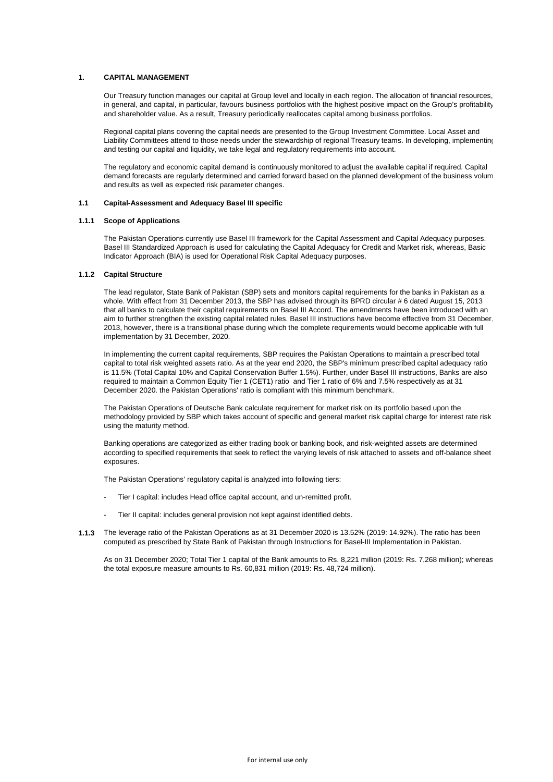## **1. CAPITAL MANAGEMENT**

Our Treasury function manages our capital at Group level and locally in each region. The allocation of financial resources, in general, and capital, in particular, favours business portfolios with the highest positive impact on the Group's profitability and shareholder value. As a result, Treasury periodically reallocates capital among business portfolios.

Regional capital plans covering the capital needs are presented to the Group Investment Committee. Local Asset and Liability Committees attend to those needs under the stewardship of regional Treasury teams. In developing, implementing and testing our capital and liquidity, we take legal and regulatory requirements into account.

The regulatory and economic capital demand is continuously monitored to adjust the available capital if required. Capital demand forecasts are regularly determined and carried forward based on the planned development of the business volum and results as well as expected risk parameter changes.

#### **1.1 Capital-Assessment and Adequacy Basel III specific**

#### **1.1.1 Scope of Applications**

The Pakistan Operations currently use Basel III framework for the Capital Assessment and Capital Adequacy purposes. Basel III Standardized Approach is used for calculating the Capital Adequacy for Credit and Market risk, whereas, Basic Indicator Approach (BIA) is used for Operational Risk Capital Adequacy purposes.

## **1.1.2 Capital Structure**

The lead regulator, State Bank of Pakistan (SBP) sets and monitors capital requirements for the banks in Pakistan as a whole. With effect from 31 December 2013, the SBP has advised through its BPRD circular # 6 dated August 15, 2013 that all banks to calculate their capital requirements on Basel III Accord. The amendments have been introduced with an aim to further strengthen the existing capital related rules. Basel III instructions have become effective from 31 December, 2013, however, there is a transitional phase during which the complete requirements would become applicable with full implementation by 31 December, 2020.

In implementing the current capital requirements, SBP requires the Pakistan Operations to maintain a prescribed total capital to total risk weighted assets ratio. As at the year end 2020, the SBP's minimum prescribed capital adequacy ratio is 11.5% (Total Capital 10% and Capital Conservation Buffer 1.5%). Further, under Basel III instructions, Banks are also required to maintain a Common Equity Tier 1 (CET1) ratio and Tier 1 ratio of 6% and 7.5% respectively as at 31 December 2020. the Pakistan Operations' ratio is compliant with this minimum benchmark.

The Pakistan Operations of Deutsche Bank calculate requirement for market risk on its portfolio based upon the methodology provided by SBP which takes account of specific and general market risk capital charge for interest rate risk using the maturity method.

Banking operations are categorized as either trading book or banking book, and risk-weighted assets are determined according to specified requirements that seek to reflect the varying levels of risk attached to assets and off-balance sheet exposures.

The Pakistan Operations' regulatory capital is analyzed into following tiers:

- Tier I capital: includes Head office capital account, and un-remitted profit.
- Tier II capital: includes general provision not kept against identified debts.
- **1.1.3** The leverage ratio of the Pakistan Operations as at 31 December 2020 is 13.52% (2019: 14.92%). The ratio has been computed as prescribed by State Bank of Pakistan through Instructions for Basel-III Implementation in Pakistan.

As on 31 December 2020; Total Tier 1 capital of the Bank amounts to Rs. 8,221 million (2019: Rs. 7,268 million); whereas the total exposure measure amounts to Rs. 60,831 million (2019: Rs. 48,724 million).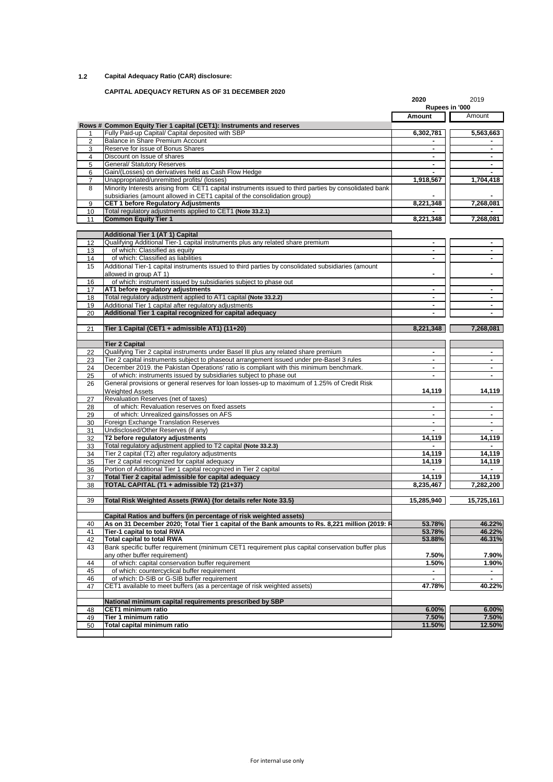# **1.2 Capital Adequacy Ratio (CAR) disclosure:**

## **CAPITAL ADEQUACY RETURN AS OF 31 DECEMBER 2020**

|          |                                                                                                                                                                                   | 2020<br>Rupees in '000       | 2019                                                                                                                                                            |
|----------|-----------------------------------------------------------------------------------------------------------------------------------------------------------------------------------|------------------------------|-----------------------------------------------------------------------------------------------------------------------------------------------------------------|
|          |                                                                                                                                                                                   | Amount                       | Amount                                                                                                                                                          |
|          | Rows # Common Equity Tier 1 capital (CET1): Instruments and reserves                                                                                                              |                              |                                                                                                                                                                 |
| 1        | Fully Paid-up Capital/ Capital deposited with SBP                                                                                                                                 | 6,302,781                    | 5,563,663                                                                                                                                                       |
| 2<br>3   | <b>Balance in Share Premium Account</b><br>Reserve for issue of Bonus Shares                                                                                                      | $\blacksquare$               | $\blacksquare$                                                                                                                                                  |
| 4        | Discount on Issue of shares                                                                                                                                                       | $\blacksquare$               | $\blacksquare$                                                                                                                                                  |
| 5        | General/ Statutory Reserves                                                                                                                                                       | $\blacksquare$               | $\blacksquare$                                                                                                                                                  |
| 6        | Gain/(Losses) on derivatives held as Cash Flow Hedge                                                                                                                              |                              |                                                                                                                                                                 |
| 7        | Unappropriated/unremitted profits/ (losses)                                                                                                                                       | 1,918,567                    | 1,704,418                                                                                                                                                       |
| 8        | Minority Interests arising from CET1 capital instruments issued to third parties by consolidated bank<br>subsidiaries (amount allowed in CET1 capital of the consolidation group) |                              |                                                                                                                                                                 |
| 9        | <b>CET 1 before Regulatory Adjustments</b>                                                                                                                                        | 8,221,348                    | 7.268.081                                                                                                                                                       |
| 10       | Total regulatory adjustments applied to CET1 (Note 33.2.1)                                                                                                                        |                              |                                                                                                                                                                 |
| 11       | <b>Common Equity Tier 1</b>                                                                                                                                                       | 8,221,348                    | 7,268,081                                                                                                                                                       |
|          | <b>Additional Tier 1 (AT 1) Capital</b>                                                                                                                                           |                              |                                                                                                                                                                 |
| 12       | Qualifying Additional Tier-1 capital instruments plus any related share premium                                                                                                   | $\blacksquare$               | $\blacksquare$                                                                                                                                                  |
| 13       | of which: Classified as equity                                                                                                                                                    | $\qquad \qquad \blacksquare$ | $\blacksquare$                                                                                                                                                  |
| 14       | of which: Classified as liabilities                                                                                                                                               |                              |                                                                                                                                                                 |
| 15       | Additional Tier-1 capital instruments issued to third parties by consolidated subsidiaries (amount                                                                                |                              |                                                                                                                                                                 |
|          | allowed in group AT 1)                                                                                                                                                            | $\blacksquare$               | $\blacksquare$                                                                                                                                                  |
| 16       | of which: instrument issued by subsidiaries subject to phase out                                                                                                                  |                              |                                                                                                                                                                 |
| 17       | AT1 before regulatory adjustments                                                                                                                                                 | $\blacksquare$               | $\blacksquare$                                                                                                                                                  |
| 18       | Total regulatory adjustment applied to AT1 capital (Note 33.2.2)                                                                                                                  |                              |                                                                                                                                                                 |
| 19       | Additional Tier 1 capital after regulatory adjustments<br>Additional Tier 1 capital recognized for capital adequacy                                                               | $\blacksquare$               | $\blacksquare$                                                                                                                                                  |
| 20       |                                                                                                                                                                                   | $\blacksquare$               |                                                                                                                                                                 |
| 21       | Tier 1 Capital (CET1 + admissible AT1) (11+20)                                                                                                                                    | 8,221,348                    | 7,268,081                                                                                                                                                       |
|          | <b>Tier 2 Capital</b>                                                                                                                                                             |                              |                                                                                                                                                                 |
|          | Qualifying Tier 2 capital instruments under Basel III plus any related share premium                                                                                              |                              | $\blacksquare$                                                                                                                                                  |
|          |                                                                                                                                                                                   | $\blacksquare$               |                                                                                                                                                                 |
| 22       |                                                                                                                                                                                   | $\blacksquare$               | $\blacksquare$                                                                                                                                                  |
| 23       | Tier 2 capital instruments subject to phaseout arrangement issued under pre-Basel 3 rules                                                                                         | $\blacksquare$               | $\blacksquare$                                                                                                                                                  |
| 24       | December 2019. the Pakistan Operations' ratio is compliant with this minimum benchmark.                                                                                           |                              |                                                                                                                                                                 |
| 25<br>26 | of which: instruments issued by subsidiaries subject to phase out<br>General provisions or general reserves for loan losses-up to maximum of 1.25% of Credit Risk                 |                              |                                                                                                                                                                 |
|          | <b>Weighted Assets</b>                                                                                                                                                            | 14,119                       |                                                                                                                                                                 |
| 27       | Revaluation Reserves (net of taxes)                                                                                                                                               |                              |                                                                                                                                                                 |
| 28       | of which: Revaluation reserves on fixed assets                                                                                                                                    | $\blacksquare$               | $\blacksquare$                                                                                                                                                  |
| 29       | of which: Unrealized gains/losses on AFS                                                                                                                                          | $\blacksquare$               | $\blacksquare$                                                                                                                                                  |
| 30       | Foreign Exchange Translation Reserves                                                                                                                                             | $\blacksquare$               | $\blacksquare$                                                                                                                                                  |
| 31       | Undisclosed/Other Reserves (if any)                                                                                                                                               | $\blacksquare$               | $\blacksquare$                                                                                                                                                  |
| 32       | T2 before regulatory adjustments                                                                                                                                                  | 14,119                       |                                                                                                                                                                 |
| 33       | Total regulatory adjustment applied to T2 capital (Note 33.2.3)                                                                                                                   |                              |                                                                                                                                                                 |
| 34       | Tier 2 capital (T2) after regulatory adjustments                                                                                                                                  | 14,119                       |                                                                                                                                                                 |
| 35       | Tier 2 capital recognized for capital adequacy                                                                                                                                    | 14,119                       |                                                                                                                                                                 |
| 36<br>37 | Portion of Additional Tier 1 capital recognized in Tier 2 capital<br>Total Tier 2 capital admissible for capital adequacy                                                         | 14,119                       |                                                                                                                                                                 |
| 38       | TOTAL CAPITAL (T1 + admissible T2) (21+37)                                                                                                                                        | 8,235,467                    |                                                                                                                                                                 |
| 39       | Total Risk Weighted Assets (RWA) {for details refer Note 33.5}                                                                                                                    | 15,285,940                   |                                                                                                                                                                 |
|          |                                                                                                                                                                                   |                              |                                                                                                                                                                 |
|          | Capital Ratios and buffers (in percentage of risk weighted assets)                                                                                                                |                              |                                                                                                                                                                 |
| 40       | As on 31 December 2020; Total Tier 1 capital of the Bank amounts to Rs. 8,221 million (2019: R                                                                                    | 53.78%                       |                                                                                                                                                                 |
| 41       | Tier-1 capital to total RWA                                                                                                                                                       | 53.78%                       |                                                                                                                                                                 |
| 42<br>43 | <b>Total capital to total RWA</b>                                                                                                                                                 | 53.88%                       |                                                                                                                                                                 |
|          | Bank specific buffer requirement (minimum CET1 requirement plus capital conservation buffer plus<br>any other buffer requirement)                                                 | 7.50%                        |                                                                                                                                                                 |
| 44       | of which: capital conservation buffer requirement                                                                                                                                 | 1.50%                        |                                                                                                                                                                 |
| 45       | of which: countercyclical buffer requirement                                                                                                                                      | ٠                            |                                                                                                                                                                 |
| 46       | of which: D-SIB or G-SIB buffer requirement                                                                                                                                       | $\blacksquare$               | $\blacksquare$                                                                                                                                                  |
| 47       | CET1 available to meet buffers (as a percentage of risk weighted assets)                                                                                                          | 47.78%                       |                                                                                                                                                                 |
|          | National minimum capital requirements prescribed by SBP                                                                                                                           |                              |                                                                                                                                                                 |
| 48       | CET1 minimum ratio                                                                                                                                                                | 6.00%                        |                                                                                                                                                                 |
| 49<br>50 | Tier 1 minimum ratio<br>Total capital minimum ratio                                                                                                                               | 7.50%<br>11.50%              | 14,119<br>14,119<br>14,119<br>14,119<br>14,119<br>7,282,200<br>15,725,161<br>46.22%<br>46.22%<br>46.31%<br>7.90%<br>1.90%<br>40.22%<br>6.00%<br>7.50%<br>12.50% |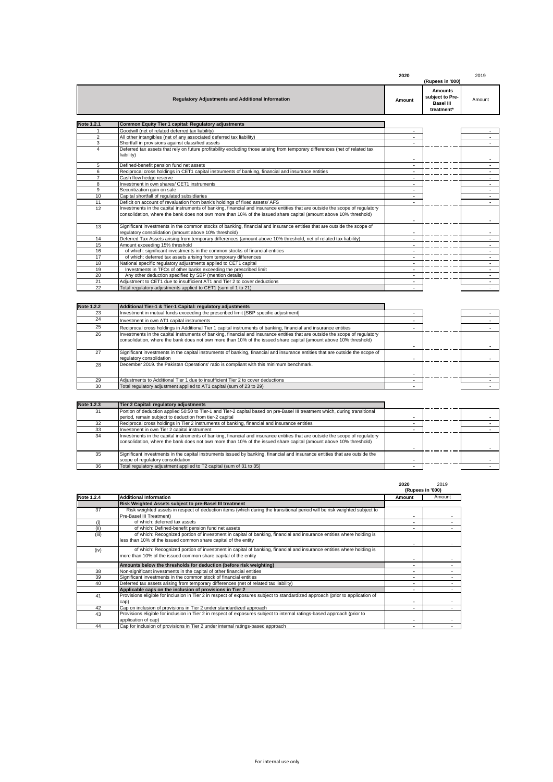|                   |                                                                                                                                                                                                                                                   | 2020 |                                                                     | 2019                     |
|-------------------|---------------------------------------------------------------------------------------------------------------------------------------------------------------------------------------------------------------------------------------------------|------|---------------------------------------------------------------------|--------------------------|
|                   |                                                                                                                                                                                                                                                   |      | (Rupees in '000)                                                    |                          |
|                   | <b>Regulatory Adjustments and Additional Information</b>                                                                                                                                                                                          |      | <b>Amounts</b><br>subject to Pre-<br><b>Basel III</b><br>treatment* | Amount                   |
| <b>Note 1.2.1</b> | Common Equity Tier 1 capital: Regulatory adjustments                                                                                                                                                                                              |      |                                                                     |                          |
|                   | Goodwill (net of related deferred tax liability)                                                                                                                                                                                                  |      |                                                                     |                          |
| $\overline{2}$    | All other intangibles (net of any associated deferred tax liability)                                                                                                                                                                              |      |                                                                     |                          |
| 3                 | Shortfall in provisions against classified assets                                                                                                                                                                                                 |      |                                                                     |                          |
| $\overline{4}$    | Deferred tax assets that rely on future profitability excluding those arising from temporary differences (net of related tax<br>liability)                                                                                                        |      |                                                                     |                          |
| 5                 | Defined-benefit pension fund net assets                                                                                                                                                                                                           |      |                                                                     |                          |
| 6                 | Reciprocal cross holdings in CET1 capital instruments of banking, financial and insurance entities                                                                                                                                                |      |                                                                     |                          |
| $\overline{7}$    | Cash flow hedge reserve                                                                                                                                                                                                                           |      |                                                                     |                          |
| 8                 | Investment in own shares/ CET1 instruments                                                                                                                                                                                                        |      |                                                                     | ٠                        |
| 9                 | Securitization gain on sale                                                                                                                                                                                                                       |      |                                                                     | $\overline{\phantom{a}}$ |
| 10                | Capital shortfall of regulated subsidiaries                                                                                                                                                                                                       |      |                                                                     |                          |
| 11                | Deficit on account of revaluation from bank's holdings of fixed assets/ AFS                                                                                                                                                                       |      |                                                                     |                          |
| 12                | Investments in the capital instruments of banking, financial and insurance entities that are outside the scope of requlatory<br>consolidation, where the bank does not own more than 10% of the issued share capital (amount above 10% threshold) |      |                                                                     |                          |
| 13                | Significant investments in the common stocks of banking, financial and insurance entities that are outside the scope of<br>regulatory consolidation (amount above 10% threshold)                                                                  |      |                                                                     |                          |
| 14                | Deferred Tax Assets arising from temporary differences (amount above 10% threshold, net of related tax liability)                                                                                                                                 |      |                                                                     |                          |
| 15                | Amount exceeding 15% threshold                                                                                                                                                                                                                    |      |                                                                     |                          |
| 16                | of which: significant investments in the common stocks of financial entities                                                                                                                                                                      |      |                                                                     |                          |
| 17                | of which: deferred tax assets arising from temporary differences                                                                                                                                                                                  |      |                                                                     |                          |
| 18                | National specific regulatory adjustments applied to CET1 capital                                                                                                                                                                                  |      |                                                                     |                          |
| 19                | Investments in TFCs of other banks exceeding the prescribed limit                                                                                                                                                                                 |      |                                                                     | $\overline{\phantom{0}}$ |
| 20                | Any other deduction specified by SBP (mention details)                                                                                                                                                                                            |      |                                                                     |                          |
| 21                | Adjustment to CET1 due to insufficient AT1 and Tier 2 to cover deductions                                                                                                                                                                         |      |                                                                     | $\sim$                   |
| 22                | Total regulatory adjustments applied to CET1 (sum of 1 to 21)                                                                                                                                                                                     |      |                                                                     | $\overline{\phantom{a}}$ |

| <b>Note 1.2.2</b> | Additional Tier-1 & Tier-1 Capital: regulatory adjustments                                                                                                                                                                                        |  |  |
|-------------------|---------------------------------------------------------------------------------------------------------------------------------------------------------------------------------------------------------------------------------------------------|--|--|
| 23                | Investment in mutual funds exceeding the prescribed limit [SBP specific adjustment]                                                                                                                                                               |  |  |
| 24                | Investment in own AT1 capital instruments                                                                                                                                                                                                         |  |  |
| 25                | Reciprocal cross holdings in Additional Tier 1 capital instruments of banking, financial and insurance entities                                                                                                                                   |  |  |
| 26                | Investments in the capital instruments of banking, financial and insurance entities that are outside the scope of requlatory<br>consolidation, where the bank does not own more than 10% of the issued share capital (amount above 10% threshold) |  |  |
| 27                | Significant investments in the capital instruments of banking, financial and insurance entities that are outside the scope of<br>regulatory consolidation                                                                                         |  |  |
| 28                | December 2019. the Pakistan Operations' ratio is compliant with this minimum benchmark.                                                                                                                                                           |  |  |
| 29                | Adjustments to Additional Tier 1 due to insufficient Tier 2 to cover deductions                                                                                                                                                                   |  |  |
| 30                | Total regulatory adjustment applied to AT1 capital (sum of 23 to 29)                                                                                                                                                                              |  |  |

| <b>Note 1.2.3</b> | Tier 2 Capital: regulatory adjustments                                                                                       |  |  |
|-------------------|------------------------------------------------------------------------------------------------------------------------------|--|--|
| 31                | Portion of deduction applied 50:50 to Tier-1 and Tier-2 capital based on pre-Basel III treatment which, during transitional  |  |  |
|                   | period, remain subject to deduction from tier-2 capital                                                                      |  |  |
| 32                | Reciprocal cross holdings in Tier 2 instruments of banking, financial and insurance entities                                 |  |  |
| 33                | Investment in own Tier 2 capital instrument                                                                                  |  |  |
| 34                | Investments in the capital instruments of banking, financial and insurance entities that are outside the scope of requlatory |  |  |
|                   | consolidation, where the bank does not own more than 10% of the issued share capital (amount above 10% threshold)            |  |  |
| 35                | Significant investments in the capital instruments issued by banking, financial and insurance entities that are outside the  |  |  |
|                   | scope of regulatory consolidation                                                                                            |  |  |
| 36                | Total regulatory adjustment applied to T2 capital (sum of 31 to 35)                                                          |  |  |

|            |                                                                                                                               | 2020<br>(Rupees in '000) | 2019   |
|------------|-------------------------------------------------------------------------------------------------------------------------------|--------------------------|--------|
| Note 1.2.4 | <b>Additional Information</b>                                                                                                 | Amount                   | Amount |
|            | Risk Weighted Assets subject to pre-Basel III treatment                                                                       |                          |        |
| 37         | Risk weighted assets in respect of deduction items (which during the transitional period will be risk weighted subject to     |                          |        |
|            | Pre-Basel III Treatment)                                                                                                      |                          |        |
| (i)        | of which: deferred tax assets                                                                                                 |                          |        |
| (ii)       | of which: Defined-benefit pension fund net assets                                                                             |                          |        |
| (iii)      | of which: Recognized portion of investment in capital of banking, financial and insurance entities where holding is           |                          |        |
|            | less than 10% of the issued common share capital of the entity                                                                |                          |        |
| (iv)       | of which: Recognized portion of investment in capital of banking, financial and insurance entities where holding is           |                          |        |
|            | more than 10% of the issued common share capital of the entity                                                                |                          |        |
|            | Amounts below the thresholds for deduction (before risk weighting)                                                            |                          |        |
| 38         | Non-significant investments in the capital of other financial entities                                                        |                          |        |
| 39         | Significant investments in the common stock of financial entities                                                             |                          |        |
| 40         | Deferred tax assets arising from temporary differences (net of related tax liability)                                         |                          |        |
|            | Applicable caps on the inclusion of provisions in Tier 2                                                                      |                          |        |
| 41         | Provisions eligible for inclusion in Tier 2 in respect of exposures subject to standardized approach (prior to application of |                          |        |
|            | cap)                                                                                                                          |                          |        |
| 42         | Cap on inclusion of provisions in Tier 2 under standardized approach                                                          |                          |        |
| 43         | Provisions eligible for inclusion in Tier 2 in respect of exposures subject to internal ratings-based approach (prior to      |                          |        |
|            | application of cap)                                                                                                           |                          |        |
| 44         | Cap for inclusion of provisions in Tier 2 under internal ratings-based approach                                               |                          |        |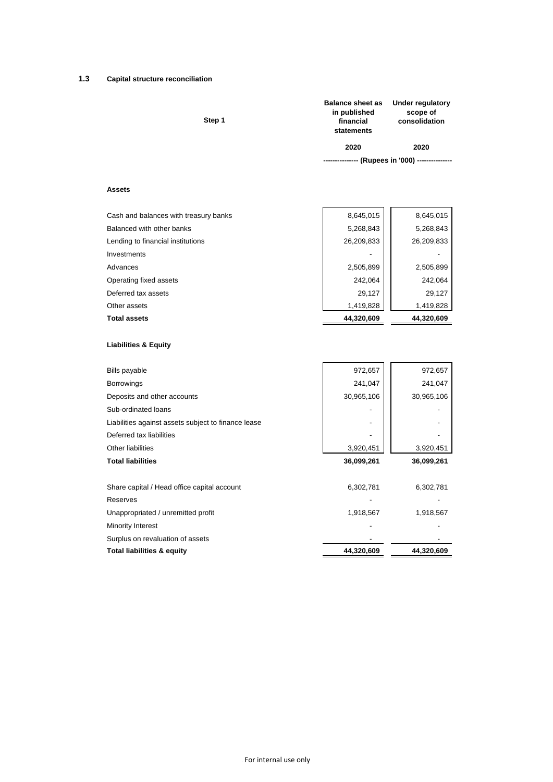# **1.3 Capital structure reconciliation**

| Step 1 | <b>Balance sheet as</b><br>in published<br>financial<br>statements | <b>Under regulatory</b><br>scope of<br>consolidation |
|--------|--------------------------------------------------------------------|------------------------------------------------------|
|        | 2020                                                               | 2020                                                 |
|        |                                                                    | --------------- (Rupees in '000) ---------------     |
|        |                                                                    |                                                      |

# **Assets**

| Cash and balances with treasury banks | 8,645,015  | 8,645,015  |
|---------------------------------------|------------|------------|
| Balanced with other banks             | 5,268,843  | 5,268,843  |
| Lending to financial institutions     | 26,209,833 | 26,209,833 |
| Investments                           |            |            |
| Advances                              | 2,505,899  | 2,505,899  |
| Operating fixed assets                | 242,064    | 242,064    |
| Deferred tax assets                   | 29,127     | 29,127     |
| Other assets                          | 1,419,828  | 1,419,828  |
| <b>Total assets</b>                   | 44,320,609 | 44,320,609 |

 $\overline{a}$ 

# **Liabilities & Equity**

| <b>Bills payable</b>                                | 972,657    | 972,657    |
|-----------------------------------------------------|------------|------------|
| <b>Borrowings</b>                                   | 241,047    | 241,047    |
| Deposits and other accounts                         | 30,965,106 | 30,965,106 |
| Sub-ordinated loans                                 |            |            |
| Liabilities against assets subject to finance lease |            |            |
| Deferred tax liabilities                            |            |            |
| <b>Other liabilities</b>                            | 3,920,451  | 3,920,451  |
| <b>Total liabilities</b>                            | 36,099,261 | 36,099,261 |
|                                                     |            |            |
| Share capital / Head office capital account         | 6,302,781  | 6,302,781  |
| Reserves                                            |            |            |
| Unappropriated / unremitted profit                  | 1,918,567  | 1,918,567  |
| Minority Interest                                   |            |            |
| Surplus on revaluation of assets                    |            |            |
| <b>Total liabilities &amp; equity</b>               | 44,320,609 | 44,320,609 |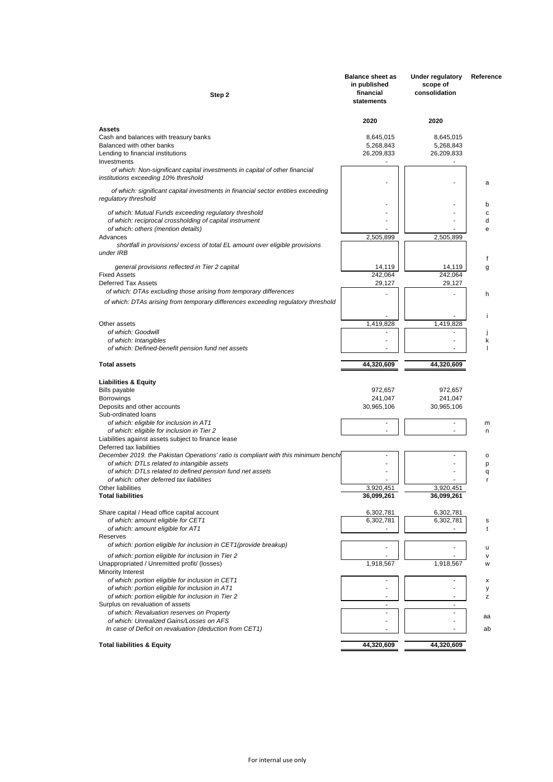| Step 2                                                                                                                            | <b>Balance sheet as</b><br>in published<br>financial<br>statements | <b>Under regulatory</b><br>scope of<br>consolidation | Reference    |
|-----------------------------------------------------------------------------------------------------------------------------------|--------------------------------------------------------------------|------------------------------------------------------|--------------|
| Assets                                                                                                                            | 2020                                                               | 2020                                                 |              |
| Cash and balances with treasury banks                                                                                             | 8,645,015                                                          | 8,645,015                                            |              |
| Balanced with other banks                                                                                                         | 5,268,843                                                          | 5,268,843                                            |              |
| Lending to financial institutions<br>Investments                                                                                  | 26,209,833                                                         | 26,209,833                                           |              |
| of which: Non-significant capital investments in capital of other financial                                                       |                                                                    |                                                      |              |
| institutions exceeding 10% threshold                                                                                              |                                                                    |                                                      | a            |
| of which: significant capital investments in financial sector entities exceeding<br>regulatory threshold                          |                                                                    |                                                      | b            |
| of which: Mutual Funds exceeding regulatory threshold                                                                             |                                                                    |                                                      | c            |
| of which: reciprocal crossholding of capital instrument                                                                           |                                                                    |                                                      | d            |
| of which: others (mention details)<br>Advances                                                                                    | 2,505,899                                                          | 2,505,899                                            | e            |
| shortfall in provisions/excess of total EL amount over eligible provisions<br>under IRB                                           |                                                                    |                                                      |              |
| general provisions reflected in Tier 2 capital                                                                                    | 14,119                                                             | 14,119                                               | f<br>g       |
| <b>Fixed Assets</b>                                                                                                               | 242,064                                                            | 242,064                                              |              |
| Deferred Tax Assets                                                                                                               | 29,127                                                             | 29,127                                               |              |
| of which: DTAs excluding those arising from temporary differences                                                                 |                                                                    |                                                      | h            |
| of which: DTAs arising from temporary differences exceeding regulatory threshold                                                  |                                                                    |                                                      | Ť            |
| Other assets                                                                                                                      | 1,419,828                                                          | 1.419.828                                            |              |
| of which: Goodwill<br>of which: Intangibles                                                                                       |                                                                    |                                                      | k            |
| of which: Defined-benefit pension fund net assets                                                                                 |                                                                    |                                                      |              |
|                                                                                                                                   |                                                                    |                                                      |              |
| <b>Total assets</b>                                                                                                               | 44,320,609                                                         | 44,320,609                                           |              |
| <b>Liabilities &amp; Equity</b>                                                                                                   |                                                                    |                                                      |              |
| <b>Bills payable</b>                                                                                                              | 972,657                                                            | 972,657                                              |              |
| <b>Borrowings</b><br>Deposits and other accounts                                                                                  | 241,047<br>30,965,106                                              | 241,047<br>30,965,106                                |              |
| Sub-ordinated loans                                                                                                               |                                                                    |                                                      |              |
| of which: eligible for inclusion in AT1                                                                                           | ٠                                                                  | ٠                                                    | m            |
| of which: eligible for inclusion in Tier 2<br>Liabilities against assets subject to finance lease                                 |                                                                    |                                                      | n            |
| Deferred tax liabilities                                                                                                          |                                                                    |                                                      |              |
| December 2019. the Pakistan Operations' ratio is compliant with this minimum bench<br>of which: DTLs related to intangible assets |                                                                    |                                                      | o<br>p       |
| of which: DTLs related to defined pension fund net assets                                                                         |                                                                    |                                                      | q            |
| of which: other deferred tax liabilities                                                                                          |                                                                    |                                                      | r            |
| Other liabilities<br><b>Total liabilities</b>                                                                                     | 3,920,451<br>36,099,261                                            | 3,920,451<br>36,099,261                              |              |
|                                                                                                                                   |                                                                    |                                                      |              |
| Share capital / Head office capital account                                                                                       | 6,302,781                                                          | 6,302,781                                            |              |
| of which: amount eligible for CET1<br>of which: amount eligible for AT1                                                           | 6,302,781                                                          | 6,302,781                                            | s<br>t       |
| Reserves                                                                                                                          |                                                                    |                                                      |              |
| of which: portion eligible for inclusion in CET1 (provide breakup)                                                                |                                                                    |                                                      | u            |
| of which: portion eligible for inclusion in Tier 2                                                                                | 1,918,567                                                          | 1,918,567                                            | $\mathsf{v}$ |
| Unappropriated / Unremitted profit/ (losses)<br>Minority Interest                                                                 |                                                                    |                                                      | W            |
| of which: portion eligible for inclusion in CET1                                                                                  |                                                                    |                                                      | х            |
| of which: portion eligible for inclusion in AT1<br>of which: portion eligible for inclusion in Tier 2                             |                                                                    |                                                      | у            |
| Surplus on revaluation of assets                                                                                                  | ٠                                                                  | ۰                                                    | z            |
| of which: Revaluation reserves on Property                                                                                        |                                                                    |                                                      | аа           |
| of which: Unrealized Gains/Losses on AFS                                                                                          |                                                                    |                                                      |              |
| In case of Deficit on revaluation (deduction from CET1)                                                                           |                                                                    |                                                      | ab           |
| <b>Total liabilities &amp; Equity</b>                                                                                             | 44,320,609                                                         | 44,320,609                                           |              |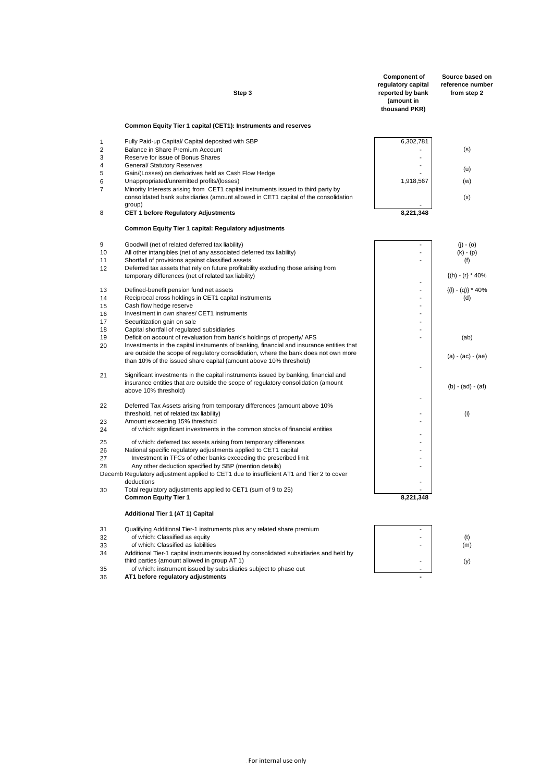|                | Step 3                                                                                                                                                                                                                                               | <b>Component of</b><br>regulatory capital<br>reported by bank<br>(amount in<br>thousand PKR) | Source based on<br>reference number<br>from step 2 |
|----------------|------------------------------------------------------------------------------------------------------------------------------------------------------------------------------------------------------------------------------------------------------|----------------------------------------------------------------------------------------------|----------------------------------------------------|
|                | Common Equity Tier 1 capital (CET1): Instruments and reserves                                                                                                                                                                                        |                                                                                              |                                                    |
| 1              | Fully Paid-up Capital/ Capital deposited with SBP                                                                                                                                                                                                    | 6,302,781                                                                                    |                                                    |
| $\overline{2}$ | Balance in Share Premium Account                                                                                                                                                                                                                     |                                                                                              | (s)                                                |
| 3<br>4         | Reserve for issue of Bonus Shares<br><b>General/ Statutory Reserves</b>                                                                                                                                                                              | ٠                                                                                            |                                                    |
| 5              | Gain/(Losses) on derivatives held as Cash Flow Hedge                                                                                                                                                                                                 |                                                                                              | (u)                                                |
| 6              | Unappropriated/unremitted profits/(losses)                                                                                                                                                                                                           | 1,918,567                                                                                    | (w)                                                |
| $\overline{7}$ | Minority Interests arising from CET1 capital instruments issued to third party by<br>consolidated bank subsidiaries (amount allowed in CET1 capital of the consolidation<br>group)                                                                   |                                                                                              | (x)                                                |
| 8              | <b>CET 1 before Regulatory Adjustments</b>                                                                                                                                                                                                           | 8,221,348                                                                                    |                                                    |
|                | Common Equity Tier 1 capital: Regulatory adjustments                                                                                                                                                                                                 |                                                                                              |                                                    |
| 9              | Goodwill (net of related deferred tax liability)                                                                                                                                                                                                     |                                                                                              | $(i) - (o)$                                        |
| 10             | All other intangibles (net of any associated deferred tax liability)                                                                                                                                                                                 |                                                                                              | $(k) - (p)$                                        |
| 11             | Shortfall of provisions against classified assets                                                                                                                                                                                                    | ÷.                                                                                           | (f)                                                |
| 12             | Deferred tax assets that rely on future profitability excluding those arising from<br>temporary differences (net of related tax liability)                                                                                                           |                                                                                              | $\{(h) - (r) * 40\%$                               |
| 13             | Defined-benefit pension fund net assets                                                                                                                                                                                                              | ÷                                                                                            | $\{(I) - (q)\} * 40\%$                             |
| 14             | Reciprocal cross holdings in CET1 capital instruments                                                                                                                                                                                                | ÷.                                                                                           | (d)                                                |
| 15<br>16       | Cash flow hedge reserve<br>Investment in own shares/ CET1 instruments                                                                                                                                                                                | ÷                                                                                            |                                                    |
| 17             | Securitization gain on sale                                                                                                                                                                                                                          | ٠                                                                                            |                                                    |
| 18             | Capital shortfall of regulated subsidiaries                                                                                                                                                                                                          |                                                                                              |                                                    |
| 19             | Deficit on account of revaluation from bank's holdings of property/ AFS                                                                                                                                                                              | ÷                                                                                            | (ab)                                               |
| 20             | Investments in the capital instruments of banking, financial and insurance entities that<br>are outside the scope of regulatory consolidation, where the bank does not own more<br>than 10% of the issued share capital (amount above 10% threshold) |                                                                                              | (a) - (ac) - (ae)                                  |
| 21             | Significant investments in the capital instruments issued by banking, financial and<br>insurance entities that are outside the scope of regulatory consolidation (amount                                                                             |                                                                                              |                                                    |
|                | above 10% threshold)                                                                                                                                                                                                                                 |                                                                                              | (b) - (ad) - (af)                                  |
| 22             | Deferred Tax Assets arising from temporary differences (amount above 10%                                                                                                                                                                             |                                                                                              |                                                    |
|                | threshold, net of related tax liability)                                                                                                                                                                                                             |                                                                                              | (i)                                                |
| 23             | Amount exceeding 15% threshold                                                                                                                                                                                                                       |                                                                                              |                                                    |
| 24             | of which: significant investments in the common stocks of financial entities                                                                                                                                                                         | ÷.                                                                                           |                                                    |
| 25             | of which: deferred tax assets arising from temporary differences                                                                                                                                                                                     |                                                                                              |                                                    |
| 26             | National specific regulatory adjustments applied to CET1 capital                                                                                                                                                                                     | ÷<br>÷.                                                                                      |                                                    |
| 27<br>28       | Investment in TFCs of other banks exceeding the prescribed limit<br>Any other deduction specified by SBP (mention details)                                                                                                                           | ÷,                                                                                           |                                                    |
|                | Decemb Regulatory adjustment applied to CET1 due to insufficient AT1 and Tier 2 to cover<br>deductions                                                                                                                                               |                                                                                              |                                                    |
| 30             | Total regulatory adjustments applied to CET1 (sum of 9 to 25)<br><b>Common Equity Tier 1</b>                                                                                                                                                         | 8,221,348                                                                                    |                                                    |
|                | Additional Tier 1 (AT 1) Capital                                                                                                                                                                                                                     |                                                                                              |                                                    |
|                |                                                                                                                                                                                                                                                      |                                                                                              |                                                    |
| 31<br>32       | Qualifying Additional Tier-1 instruments plus any related share premium<br>of which: Classified as equity                                                                                                                                            |                                                                                              | (t)                                                |
| 33             | of which: Classified as liabilities                                                                                                                                                                                                                  |                                                                                              | (m)                                                |
| 34             | Additional Tier-1 capital instruments issued by consolidated subsidiaries and held by                                                                                                                                                                |                                                                                              |                                                    |
| 35             | third parties (amount allowed in group AT 1)<br>of which: instrument issued by subsidiaries subject to phase out                                                                                                                                     |                                                                                              | (y)                                                |
| 36             | AT1 before regulatory adjustments                                                                                                                                                                                                                    |                                                                                              |                                                    |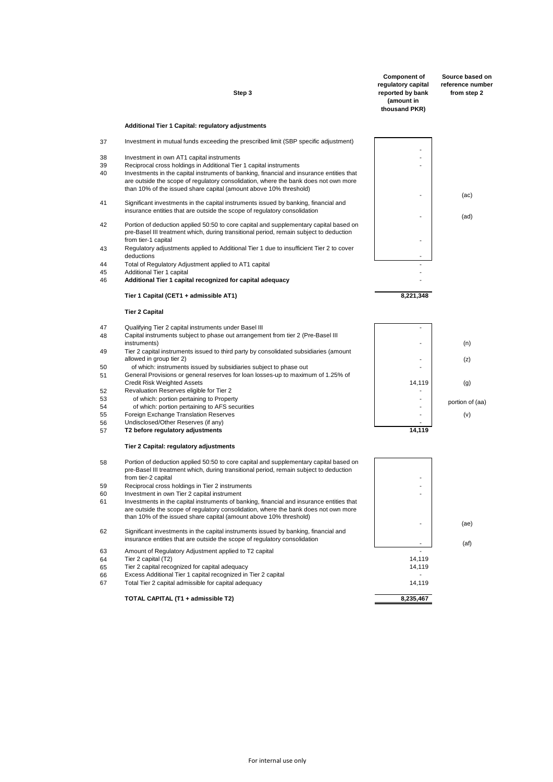|          | Step 3                                                                                                                                                                                                                                               | <b>Component of</b><br>regulatory capital<br>reported by bank<br>(amount in<br>thousand PKR) | Source based on<br>reference number<br>from step 2 |
|----------|------------------------------------------------------------------------------------------------------------------------------------------------------------------------------------------------------------------------------------------------------|----------------------------------------------------------------------------------------------|----------------------------------------------------|
|          | Additional Tier 1 Capital: regulatory adjustments                                                                                                                                                                                                    |                                                                                              |                                                    |
| 37       | Investment in mutual funds exceeding the prescribed limit (SBP specific adjustment)                                                                                                                                                                  |                                                                                              |                                                    |
| 38       | Investment in own AT1 capital instruments                                                                                                                                                                                                            |                                                                                              |                                                    |
| 39       | Reciprocal cross holdings in Additional Tier 1 capital instruments                                                                                                                                                                                   |                                                                                              |                                                    |
| 40       | Investments in the capital instruments of banking, financial and insurance entities that<br>are outside the scope of regulatory consolidation, where the bank does not own more<br>than 10% of the issued share capital (amount above 10% threshold) |                                                                                              | (ac)                                               |
| 41       | Significant investments in the capital instruments issued by banking, financial and<br>insurance entities that are outside the scope of regulatory consolidation                                                                                     |                                                                                              | (ad)                                               |
| 42       | Portion of deduction applied 50:50 to core capital and supplementary capital based on<br>pre-Basel III treatment which, during transitional period, remain subject to deduction<br>from tier-1 capital                                               |                                                                                              |                                                    |
| 43       | Regulatory adjustments applied to Additional Tier 1 due to insufficient Tier 2 to cover<br>deductions                                                                                                                                                |                                                                                              |                                                    |
| 44       | Total of Regulatory Adjustment applied to AT1 capital                                                                                                                                                                                                |                                                                                              |                                                    |
| 45<br>46 | Additional Tier 1 capital<br>Additional Tier 1 capital recognized for capital adequacy                                                                                                                                                               |                                                                                              |                                                    |
|          | Tier 1 Capital (CET1 + admissible AT1)                                                                                                                                                                                                               | 8,221,348                                                                                    |                                                    |
|          | <b>Tier 2 Capital</b>                                                                                                                                                                                                                                |                                                                                              |                                                    |
| 47       | Qualifying Tier 2 capital instruments under Basel III                                                                                                                                                                                                |                                                                                              |                                                    |
| 48       | Capital instruments subject to phase out arrangement from tier 2 (Pre-Basel III                                                                                                                                                                      |                                                                                              |                                                    |
|          | instruments)                                                                                                                                                                                                                                         |                                                                                              | (n)                                                |
| 49       | Tier 2 capital instruments issued to third party by consolidated subsidiaries (amount<br>allowed in group tier 2)                                                                                                                                    |                                                                                              | (z)                                                |
| 50<br>51 | of which: instruments issued by subsidiaries subject to phase out<br>General Provisions or general reserves for loan losses-up to maximum of 1.25% of                                                                                                |                                                                                              |                                                    |
|          | <b>Credit Risk Weighted Assets</b>                                                                                                                                                                                                                   | 14,119                                                                                       | (g)                                                |
| 52       | Revaluation Reserves eligible for Tier 2                                                                                                                                                                                                             |                                                                                              |                                                    |
| 53       | of which: portion pertaining to Property                                                                                                                                                                                                             |                                                                                              | portion of (aa)                                    |
| 54       | of which: portion pertaining to AFS securities                                                                                                                                                                                                       |                                                                                              |                                                    |
| 55<br>56 | Foreign Exchange Translation Reserves<br>Undisclosed/Other Reserves (if any)                                                                                                                                                                         |                                                                                              | (v)                                                |
| 57       | T2 before regulatory adjustments                                                                                                                                                                                                                     | 14,119                                                                                       |                                                    |
|          | Tier 2 Capital: regulatory adjustments                                                                                                                                                                                                               |                                                                                              |                                                    |
| 58       | Portion of deduction applied 50:50 to core capital and supplementary capital based on<br>pre-Basel III treatment which, during transitional period, remain subject to deduction<br>from tier-2 capital                                               |                                                                                              |                                                    |
| 59       | Reciprocal cross holdings in Tier 2 instruments                                                                                                                                                                                                      |                                                                                              |                                                    |
| 60       | Investment in own Tier 2 capital instrument                                                                                                                                                                                                          |                                                                                              |                                                    |
| 61       | Investments in the capital instruments of banking, financial and insurance entities that<br>are outside the scope of regulatory consolidation, where the bank does not own more<br>than 10% of the issued share capital (amount above 10% threshold) |                                                                                              |                                                    |
| 62       | Significant investments in the capital instruments issued by banking, financial and<br>insurance entities that are outside the scope of regulatory consolidation                                                                                     |                                                                                              | (ae)                                               |
| 63       | Amount of Regulatory Adjustment applied to T2 capital                                                                                                                                                                                                |                                                                                              | (af)                                               |
| 64       | Tier 2 capital (T2)                                                                                                                                                                                                                                  | 14,119                                                                                       |                                                    |
| 65       | Tier 2 capital recognized for capital adequacy                                                                                                                                                                                                       | 14,119                                                                                       |                                                    |
| 66<br>67 | Excess Additional Tier 1 capital recognized in Tier 2 capital<br>Total Tier 2 capital admissible for capital adequacy                                                                                                                                | 14,119                                                                                       |                                                    |
|          | TOTAL CAPITAL (T1 + admissible T2)                                                                                                                                                                                                                   | 8,235,467                                                                                    |                                                    |
|          |                                                                                                                                                                                                                                                      |                                                                                              |                                                    |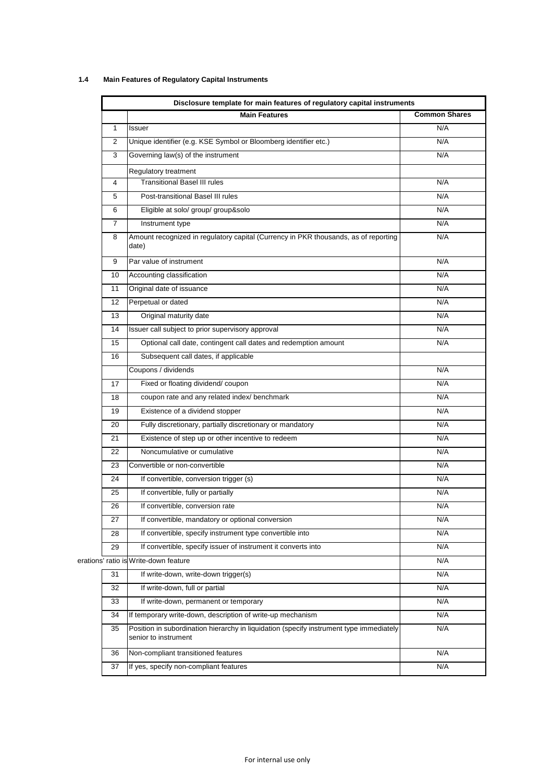# **1.4 Main Features of Regulatory Capital Instruments**

| Disclosure template for main features of regulatory capital instruments |                                                                                                                 |                      |  |  |
|-------------------------------------------------------------------------|-----------------------------------------------------------------------------------------------------------------|----------------------|--|--|
|                                                                         | <b>Main Features</b>                                                                                            | <b>Common Shares</b> |  |  |
| 1                                                                       | Issuer                                                                                                          | N/A                  |  |  |
| 2                                                                       | Unique identifier (e.g. KSE Symbol or Bloomberg identifier etc.)                                                | N/A                  |  |  |
| 3                                                                       | Governing law(s) of the instrument                                                                              | N/A                  |  |  |
|                                                                         | Regulatory treatment                                                                                            |                      |  |  |
| 4                                                                       | <b>Transitional Basel III rules</b>                                                                             | N/A                  |  |  |
| 5                                                                       | Post-transitional Basel III rules                                                                               | N/A                  |  |  |
| 6                                                                       | Eligible at solo/ group/ group&solo                                                                             | N/A                  |  |  |
| 7                                                                       | Instrument type                                                                                                 | N/A                  |  |  |
| 8                                                                       | Amount recognized in regulatory capital (Currency in PKR thousands, as of reporting<br>date)                    | N/A                  |  |  |
| 9                                                                       | Par value of instrument                                                                                         | N/A                  |  |  |
| 10                                                                      | Accounting classification                                                                                       | N/A                  |  |  |
| 11                                                                      | Original date of issuance                                                                                       | N/A                  |  |  |
| 12                                                                      | Perpetual or dated                                                                                              | N/A                  |  |  |
| 13                                                                      | Original maturity date                                                                                          | N/A                  |  |  |
| 14                                                                      | Issuer call subject to prior supervisory approval                                                               | N/A                  |  |  |
| 15                                                                      | Optional call date, contingent call dates and redemption amount                                                 | N/A                  |  |  |
| 16                                                                      | Subsequent call dates, if applicable                                                                            |                      |  |  |
|                                                                         | Coupons / dividends                                                                                             | N/A                  |  |  |
| 17                                                                      | Fixed or floating dividend/coupon                                                                               | N/A                  |  |  |
| 18                                                                      | coupon rate and any related index/ benchmark                                                                    | N/A                  |  |  |
| 19                                                                      | Existence of a dividend stopper                                                                                 | N/A                  |  |  |
| 20                                                                      | Fully discretionary, partially discretionary or mandatory                                                       | N/A                  |  |  |
| 21                                                                      | Existence of step up or other incentive to redeem                                                               | N/A                  |  |  |
| 22                                                                      | Noncumulative or cumulative                                                                                     | N/A                  |  |  |
| 23                                                                      | Convertible or non-convertible                                                                                  | N/A                  |  |  |
| 24                                                                      | If convertible, conversion trigger (s)                                                                          | N/A                  |  |  |
| 25                                                                      | If convertible, fully or partially                                                                              | N/A                  |  |  |
| 26                                                                      | If convertible, conversion rate                                                                                 | N/A                  |  |  |
| 27                                                                      | If convertible, mandatory or optional conversion                                                                | N/A                  |  |  |
| 28                                                                      | If convertible, specify instrument type convertible into                                                        | N/A                  |  |  |
| 29                                                                      | If convertible, specify issuer of instrument it converts into                                                   | N/A                  |  |  |
|                                                                         | erations' ratio is Write-down feature                                                                           | N/A                  |  |  |
| 31                                                                      | If write-down, write-down trigger(s)                                                                            | N/A                  |  |  |
| 32                                                                      | If write-down, full or partial                                                                                  | N/A                  |  |  |
| 33                                                                      | If write-down, permanent or temporary                                                                           | N/A                  |  |  |
| 34                                                                      | If temporary write-down, description of write-up mechanism                                                      | N/A                  |  |  |
| 35                                                                      | Position in subordination hierarchy in liquidation (specify instrument type immediately<br>senior to instrument | N/A                  |  |  |
| 36                                                                      | Non-compliant transitioned features                                                                             | N/A                  |  |  |
| 37                                                                      | If yes, specify non-compliant features                                                                          | N/A                  |  |  |
|                                                                         |                                                                                                                 |                      |  |  |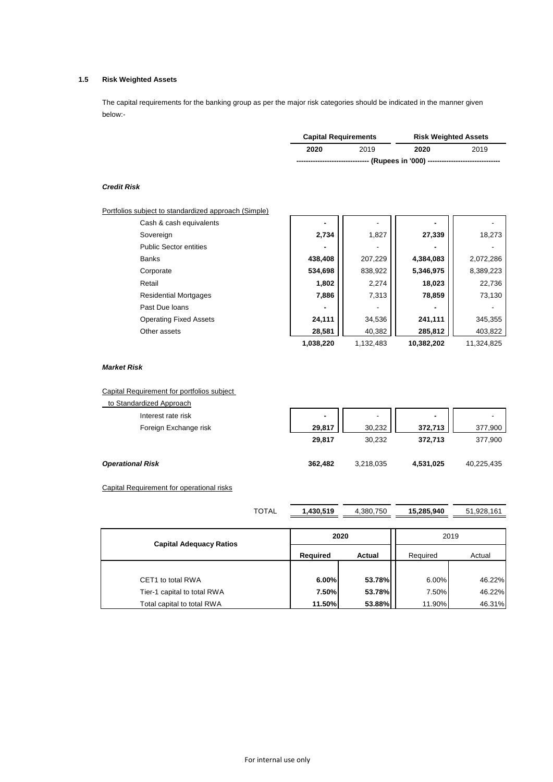# **1.5 Risk Weighted Assets**

The capital requirements for the banking group as per the major risk categories should be indicated in the manner given below:-

| <b>Capital Requirements</b> |      | <b>Risk Weighted Assets</b>                                   |      |  |
|-----------------------------|------|---------------------------------------------------------------|------|--|
| 2020                        | 2019 | 2020                                                          | 2019 |  |
|                             |      | --------------------------(Rupees in '000) ------------------ |      |  |

# *Credit Risk*

| Portfolios subject to standardized approach (Simple) |           |           |            |            |
|------------------------------------------------------|-----------|-----------|------------|------------|
| Cash & cash equivalents                              |           |           |            |            |
| Sovereign                                            | 2,734     | 1,827     | 27,339     | 18,273     |
| <b>Public Sector entities</b>                        |           |           |            |            |
| <b>Banks</b>                                         | 438,408   | 207,229   | 4,384,083  | 2,072,286  |
| Corporate                                            | 534,698   | 838,922   | 5,346,975  | 8,389,223  |
| Retail                                               | 1,802     | 2,274     | 18,023     | 22,736     |
| <b>Residential Mortgages</b>                         | 7,886     | 7,313     | 78,859     | 73,130     |
| Past Due loans                                       |           |           |            |            |
| <b>Operating Fixed Assets</b>                        | 24,111    | 34,536    | 241,111    | 345,355    |
| Other assets                                         | 28,581    | 40,382    | 285,812    | 403,822    |
|                                                      | 1,038,220 | 1,132,483 | 10,382,202 | 11,324,825 |

### *Market Risk*

Capital Requirement for portfolios subject

| to Standardized Approach |                          |           |                |            |
|--------------------------|--------------------------|-----------|----------------|------------|
| Interest rate risk       | $\overline{\phantom{a}}$ | ۰         | $\blacksquare$ |            |
| Foreign Exchange risk    | 29,817                   | 30,232    | 372,713        | 377,900    |
|                          | 29,817                   | 30,232    | 372.713        | 377,900    |
| <b>Operational Risk</b>  | 362,482                  | 3,218,035 | 4,531,025      | 40,225,435 |

Capital Requirement for operational risks

| <b>TOTAL</b>                   | 1,430,519 | 4,380,750 | 15,285,940 | 51,928,161 |  |
|--------------------------------|-----------|-----------|------------|------------|--|
|                                |           |           |            |            |  |
| <b>Capital Adequacy Ratios</b> |           | 2020      |            | 2019       |  |
|                                | Required  | Actual    |            | Actual     |  |
|                                |           |           |            |            |  |
| CET1 to total RWA              | 6.00%     | 53.78%    | 6.00%      | 46.22%     |  |
| Tier-1 capital to total RWA    | 7.50%     | 53.78%    | 7.50%      | 46.22%     |  |
| Total capital to total RWA     | 11.50%    | 53.88%    | 11.90%     | 46.31%     |  |